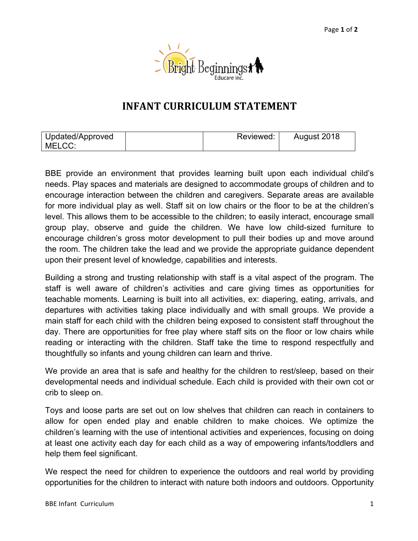

## **INFANT CURRICULUM STATEMENT**

| Updated/Approved | Reviewed: | August 2018 |
|------------------|-----------|-------------|
| MELCC:           |           |             |

BBE provide an environment that provides learning built upon each individual child's needs. Play spaces and materials are designed to accommodate groups of children and to encourage interaction between the children and caregivers. Separate areas are available for more individual play as well. Staff sit on low chairs or the floor to be at the children's level. This allows them to be accessible to the children; to easily interact, encourage small group play, observe and guide the children. We have low child-sized furniture to encourage children's gross motor development to pull their bodies up and move around the room. The children take the lead and we provide the appropriate guidance dependent upon their present level of knowledge, capabilities and interests.

Building a strong and trusting relationship with staff is a vital aspect of the program. The staff is well aware of children's activities and care giving times as opportunities for teachable moments. Learning is built into all activities, ex: diapering, eating, arrivals, and departures with activities taking place individually and with small groups. We provide a main staff for each child with the children being exposed to consistent staff throughout the day. There are opportunities for free play where staff sits on the floor or low chairs while reading or interacting with the children. Staff take the time to respond respectfully and thoughtfully so infants and young children can learn and thrive.

We provide an area that is safe and healthy for the children to rest/sleep, based on their developmental needs and individual schedule. Each child is provided with their own cot or crib to sleep on.

Toys and loose parts are set out on low shelves that children can reach in containers to allow for open ended play and enable children to make choices. We optimize the children's learning with the use of intentional activities and experiences, focusing on doing at least one activity each day for each child as a way of empowering infants/toddlers and help them feel significant.

We respect the need for children to experience the outdoors and real world by providing opportunities for the children to interact with nature both indoors and outdoors. Opportunity